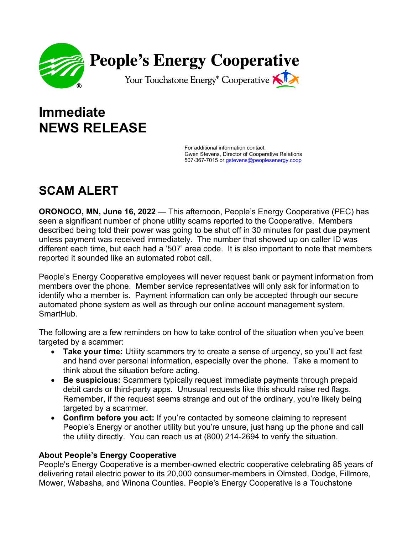

## **Immediate NEWS RELEASE**

For additional information contact, Gwen Stevens, Director of Cooperative Relations 507-367-7015 or [gstevens@peoplesenergy.coop](mailto:gstevens@peoplesenergy.coop)

## **SCAM ALERT**

**ORONOCO, MN, June 16, 2022** — This afternoon, People's Energy Cooperative (PEC) has seen a significant number of phone utility scams reported to the Cooperative. Members described being told their power was going to be shut off in 30 minutes for past due payment unless payment was received immediately. The number that showed up on caller ID was different each time, but each had a '507' area code. It is also important to note that members reported it sounded like an automated robot call.

People's Energy Cooperative employees will never request bank or payment information from members over the phone. Member service representatives will only ask for information to identify who a member is. Payment information can only be accepted through our secure automated phone system as well as through our online account management system, SmartHub.

The following are a few reminders on how to take control of the situation when you've been targeted by a scammer:

- **Take your time:** Utility scammers try to create a sense of urgency, so you'll act fast and hand over personal information, especially over the phone. Take a moment to think about the situation before acting.
- **Be suspicious:** Scammers typically request immediate payments through prepaid debit cards or third-party apps. Unusual requests like this should raise red flags. Remember, if the request seems strange and out of the ordinary, you're likely being targeted by a scammer.
- **Confirm before you act:** If you're contacted by someone claiming to represent People's Energy or another utility but you're unsure, just hang up the phone and call the utility directly. You can reach us at (800) 214-2694 to verify the situation.

## **About People's Energy Cooperative**

People's Energy Cooperative is a member-owned electric cooperative celebrating 85 years of delivering retail electric power to its 20,000 consumer-members in Olmsted, Dodge, Fillmore, Mower, Wabasha, and Winona Counties. People's Energy Cooperative is a Touchstone